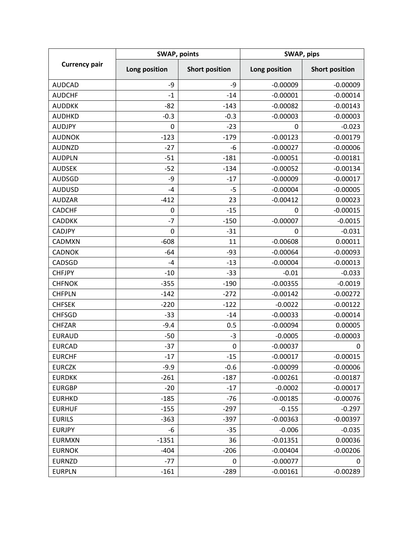| <b>Currency pair</b> | <b>SWAP, points</b> |                       | SWAP, pips    |                       |
|----------------------|---------------------|-----------------------|---------------|-----------------------|
|                      | Long position       | <b>Short position</b> | Long position | <b>Short position</b> |
| <b>AUDCAD</b>        | -9                  | -9                    | $-0.00009$    | $-0.00009$            |
| <b>AUDCHF</b>        | $-1$                | $-14$                 | $-0.00001$    | $-0.00014$            |
| <b>AUDDKK</b>        | $-82$               | $-143$                | $-0.00082$    | $-0.00143$            |
| <b>AUDHKD</b>        | $-0.3$              | $-0.3$                | $-0.00003$    | $-0.00003$            |
| <b>AUDJPY</b>        | 0                   | $-23$                 | 0             | $-0.023$              |
| <b>AUDNOK</b>        | $-123$              | $-179$                | $-0.00123$    | $-0.00179$            |
| <b>AUDNZD</b>        | $-27$               | -6                    | $-0.00027$    | $-0.00006$            |
| <b>AUDPLN</b>        | $-51$               | $-181$                | $-0.00051$    | $-0.00181$            |
| <b>AUDSEK</b>        | $-52$               | $-134$                | $-0.00052$    | $-0.00134$            |
| <b>AUDSGD</b>        | -9                  | $-17$                 | $-0.00009$    | $-0.00017$            |
| <b>AUDUSD</b>        | $-4$                | $-5$                  | $-0.00004$    | $-0.00005$            |
| <b>AUDZAR</b>        | $-412$              | 23                    | $-0.00412$    | 0.00023               |
| <b>CADCHF</b>        | $\pmb{0}$           | $-15$                 | 0             | $-0.00015$            |
| <b>CADDKK</b>        | $-7$                | $-150$                | $-0.00007$    | $-0.0015$             |
| <b>CADJPY</b>        | 0                   | $-31$                 | $\mathbf 0$   | $-0.031$              |
| CADMXN               | $-608$              | 11                    | $-0.00608$    | 0.00011               |
| <b>CADNOK</b>        | $-64$               | $-93$                 | $-0.00064$    | $-0.00093$            |
| CADSGD               | $-4$                | $-13$                 | $-0.00004$    | $-0.00013$            |
| <b>CHFJPY</b>        | $-10$               | $-33$                 | $-0.01$       | $-0.033$              |
| <b>CHFNOK</b>        | $-355$              | $-190$                | $-0.00355$    | $-0.0019$             |
| <b>CHFPLN</b>        | $-142$              | $-272$                | $-0.00142$    | $-0.00272$            |
| <b>CHFSEK</b>        | $-220$              | $-122$                | $-0.0022$     | $-0.00122$            |
| <b>CHFSGD</b>        | $-33$               | $-14$                 | $-0.00033$    | $-0.00014$            |
| <b>CHFZAR</b>        | $-9.4$              | 0.5                   | $-0.00094$    | 0.00005               |
| <b>EURAUD</b>        | $-50$               | $-3$                  | $-0.0005$     | $-0.00003$            |
| <b>EURCAD</b>        | $-37$               | 0                     | $-0.00037$    | 0                     |
| <b>EURCHF</b>        | $-17$               | $-15$                 | $-0.00017$    | $-0.00015$            |
| <b>EURCZK</b>        | $-9.9$              | $-0.6$                | $-0.00099$    | $-0.00006$            |
| <b>EURDKK</b>        | $-261$              | $-187$                | $-0.00261$    | $-0.00187$            |
| <b>EURGBP</b>        | $-20$               | $-17$                 | $-0.0002$     | $-0.00017$            |
| <b>EURHKD</b>        | $-185$              | $-76$                 | $-0.00185$    | $-0.00076$            |
| <b>EURHUF</b>        | $-155$              | $-297$                | $-0.155$      | $-0.297$              |
| <b>EURILS</b>        | $-363$              | $-397$                | $-0.00363$    | $-0.00397$            |
| <b>EURJPY</b>        | -6                  | $-35$                 | $-0.006$      | $-0.035$              |
| <b>EURMXN</b>        | $-1351$             | 36                    | $-0.01351$    | 0.00036               |
| <b>EURNOK</b>        | $-404$              | $-206$                | $-0.00404$    | $-0.00206$            |
| <b>EURNZD</b>        | $-77$               | 0                     | $-0.00077$    | 0                     |
| <b>EURPLN</b>        | $-161$              | $-289$                | $-0.00161$    | $-0.00289$            |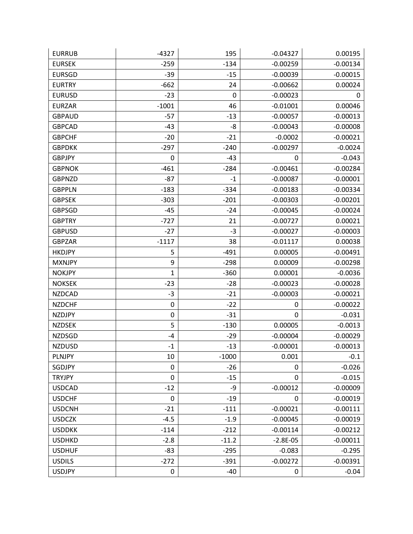| <b>EURRUB</b> | $-4327$     | 195     | $-0.04327$       | 0.00195    |
|---------------|-------------|---------|------------------|------------|
| <b>EURSEK</b> | $-259$      | $-134$  | $-0.00259$       | $-0.00134$ |
| <b>EURSGD</b> | $-39$       | $-15$   | $-0.00039$       | $-0.00015$ |
| <b>EURTRY</b> | $-662$      | 24      | $-0.00662$       | 0.00024    |
| <b>EURUSD</b> | $-23$       | 0       | $-0.00023$       | 0          |
| <b>EURZAR</b> | $-1001$     | 46      | $-0.01001$       | 0.00046    |
| <b>GBPAUD</b> | -57         | $-13$   | $-0.00057$       | $-0.00013$ |
| <b>GBPCAD</b> | $-43$       | -8      | $-0.00043$       | $-0.00008$ |
| <b>GBPCHF</b> | $-20$       | $-21$   | $-0.0002$        | $-0.00021$ |
| <b>GBPDKK</b> | $-297$      | $-240$  | $-0.00297$       | $-0.0024$  |
| <b>GBPJPY</b> | 0           | -43     | 0                | $-0.043$   |
| <b>GBPNOK</b> | $-461$      | $-284$  | $-0.00461$       | $-0.00284$ |
| <b>GBPNZD</b> | -87         | $-1$    | $-0.00087$       | $-0.00001$ |
| <b>GBPPLN</b> | $-183$      | $-334$  | $-0.00183$       | $-0.00334$ |
| <b>GBPSEK</b> | $-303$      | $-201$  | $-0.00303$       | $-0.00201$ |
| <b>GBPSGD</b> | -45         | $-24$   | $-0.00045$       | $-0.00024$ |
| <b>GBPTRY</b> | $-727$      | 21      | $-0.00727$       | 0.00021    |
| <b>GBPUSD</b> | $-27$       | -3      | $-0.00027$       | $-0.00003$ |
| <b>GBPZAR</b> | $-1117$     | 38      | $-0.01117$       | 0.00038    |
| <b>HKDJPY</b> | 5           | $-491$  | 0.00005          | $-0.00491$ |
| <b>MXNJPY</b> | 9           | $-298$  | 0.00009          | $-0.00298$ |
| <b>NOKJPY</b> | 1           | $-360$  | 0.00001          | $-0.0036$  |
| <b>NOKSEK</b> | $-23$       | $-28$   | $-0.00023$       | $-0.00028$ |
| <b>NZDCAD</b> | $-3$        | $-21$   | $-0.00003$       | $-0.00021$ |
| <b>NZDCHF</b> | $\mathbf 0$ | $-22$   | 0                | $-0.00022$ |
| <b>NZDJPY</b> | $\pmb{0}$   | $-31$   | $\mathbf 0$      | $-0.031$   |
| <b>NZDSEK</b> | 5           | $-130$  | 0.00005          | $-0.0013$  |
| <b>NZDSGD</b> | $-4$        | $-29$   | $-0.00004$       | $-0.00029$ |
| <b>NZDUSD</b> | $-1$        | $-13$   | $-0.00001$       | $-0.00013$ |
| <b>PLNJPY</b> | 10          | $-1000$ | 0.001            | $-0.1$     |
| SGDJPY        | 0           | $-26$   | $\mathbf 0$      | $-0.026$   |
| <b>TRYJPY</b> | $\pmb{0}$   | $-15$   | $\boldsymbol{0}$ | $-0.015$   |
| <b>USDCAD</b> | $-12$       | -9      | $-0.00012$       | $-0.00009$ |
| <b>USDCHF</b> | 0           | $-19$   | 0                | $-0.00019$ |
| <b>USDCNH</b> | $-21$       | $-111$  | $-0.00021$       | $-0.00111$ |
| <b>USDCZK</b> | $-4.5$      | $-1.9$  | $-0.00045$       | $-0.00019$ |
| <b>USDDKK</b> | $-114$      | $-212$  | $-0.00114$       | $-0.00212$ |
| <b>USDHKD</b> | $-2.8$      | $-11.2$ | $-2.8E-05$       | $-0.00011$ |
| <b>USDHUF</b> | -83         | $-295$  | $-0.083$         | $-0.295$   |
| <b>USDILS</b> | $-272$      | $-391$  | $-0.00272$       | $-0.00391$ |
| <b>USDJPY</b> | $\pmb{0}$   | $-40$   | 0                | $-0.04$    |